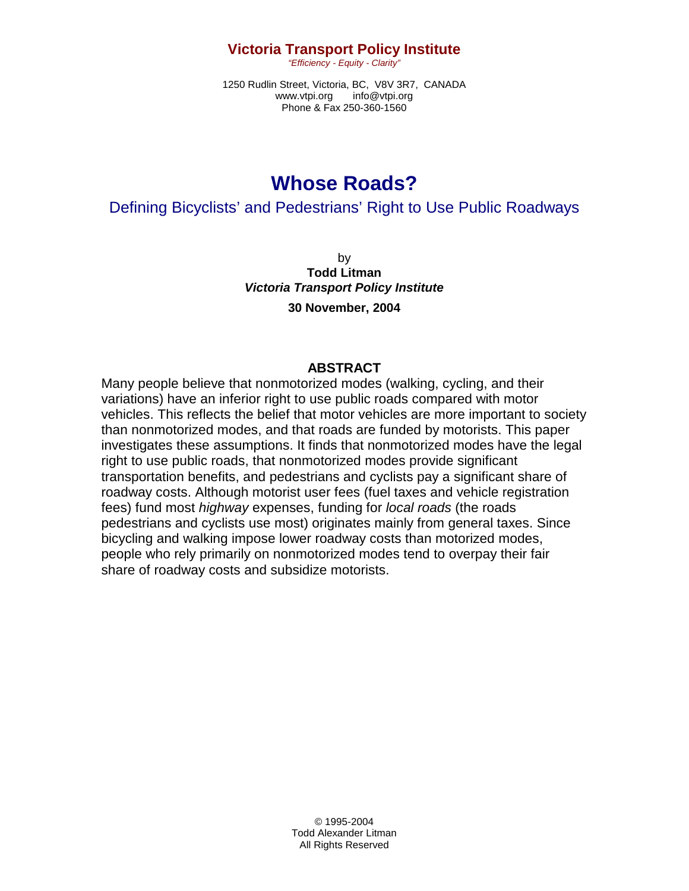### **Victoria Transport Policy Institute**

*"Efficiency - Equity - Clarity"* 

1250 Rudlin Street, Victoria, BC, V8V 3R7, CANADA www.vtpi.org info@vtpi.org Phone & Fax 250-360-1560

# **Whose Roads?**

Defining Bicyclists' and Pedestrians' Right to Use Public Roadways

by **Todd Litman**  *Victoria Transport Policy Institute*  **30 November, 2004** 

#### **ABSTRACT**

Many people believe that nonmotorized modes (walking, cycling, and their variations) have an inferior right to use public roads compared with motor vehicles. This reflects the belief that motor vehicles are more important to society than nonmotorized modes, and that roads are funded by motorists. This paper investigates these assumptions. It finds that nonmotorized modes have the legal right to use public roads, that nonmotorized modes provide significant transportation benefits, and pedestrians and cyclists pay a significant share of roadway costs. Although motorist user fees (fuel taxes and vehicle registration fees) fund most *highway* expenses, funding for *local roads* (the roads pedestrians and cyclists use most) originates mainly from general taxes. Since bicycling and walking impose lower roadway costs than motorized modes, people who rely primarily on nonmotorized modes tend to overpay their fair share of roadway costs and subsidize motorists.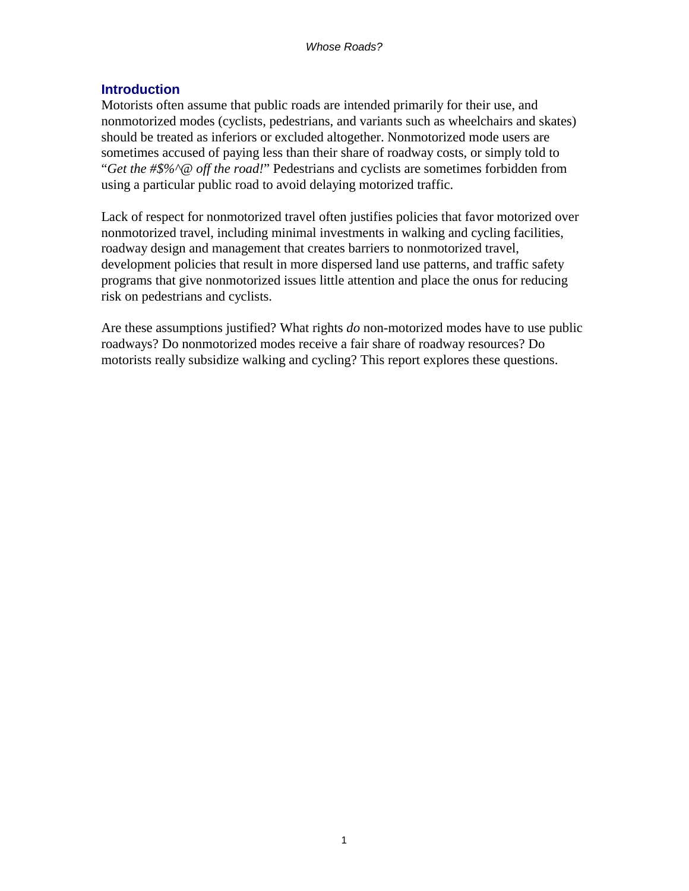## **Introduction**

Motorists often assume that public roads are intended primarily for their use, and nonmotorized modes (cyclists, pedestrians, and variants such as wheelchairs and skates) should be treated as inferiors or excluded altogether. Nonmotorized mode users are sometimes accused of paying less than their share of roadway costs, or simply told to "*Get the #\$%^@ off the road!*" Pedestrians and cyclists are sometimes forbidden from using a particular public road to avoid delaying motorized traffic.

Lack of respect for nonmotorized travel often justifies policies that favor motorized over nonmotorized travel, including minimal investments in walking and cycling facilities, roadway design and management that creates barriers to nonmotorized travel, development policies that result in more dispersed land use patterns, and traffic safety programs that give nonmotorized issues little attention and place the onus for reducing risk on pedestrians and cyclists.

Are these assumptions justified? What rights *do* non-motorized modes have to use public roadways? Do nonmotorized modes receive a fair share of roadway resources? Do motorists really subsidize walking and cycling? This report explores these questions.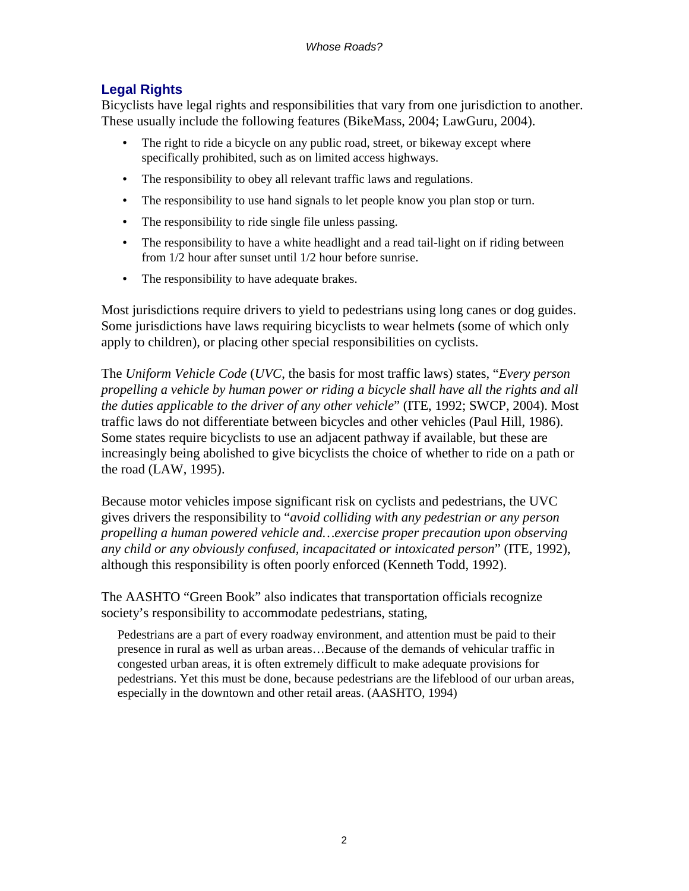# **Legal Rights**

Bicyclists have legal rights and responsibilities that vary from one jurisdiction to another. These usually include the following features (BikeMass, 2004; LawGuru, 2004).

- The right to ride a bicycle on any public road, street, or bikeway except where specifically prohibited, such as on limited access highways.
- The responsibility to obey all relevant traffic laws and regulations.
- The responsibility to use hand signals to let people know you plan stop or turn.
- The responsibility to ride single file unless passing.
- The responsibility to have a white headlight and a read tail-light on if riding between from 1/2 hour after sunset until 1/2 hour before sunrise.
- The responsibility to have adequate brakes.

Most jurisdictions require drivers to yield to pedestrians using long canes or dog guides. Some jurisdictions have laws requiring bicyclists to wear helmets (some of which only apply to children), or placing other special responsibilities on cyclists.

The *Uniform Vehicle Code* (*UVC*, the basis for most traffic laws) states, "*Every person propelling a vehicle by human power or riding a bicycle shall have all the rights and all the duties applicable to the driver of any other vehicle*" (ITE, 1992; SWCP, 2004). Most traffic laws do not differentiate between bicycles and other vehicles (Paul Hill, 1986). Some states require bicyclists to use an adjacent pathway if available, but these are increasingly being abolished to give bicyclists the choice of whether to ride on a path or the road (LAW, 1995).

Because motor vehicles impose significant risk on cyclists and pedestrians, the UVC gives drivers the responsibility to "*avoid colliding with any pedestrian or any person propelling a human powered vehicle and…exercise proper precaution upon observing any child or any obviously confused, incapacitated or intoxicated person*" (ITE, 1992), although this responsibility is often poorly enforced (Kenneth Todd, 1992).

The AASHTO "Green Book" also indicates that transportation officials recognize society's responsibility to accommodate pedestrians, stating,

Pedestrians are a part of every roadway environment, and attention must be paid to their presence in rural as well as urban areas…Because of the demands of vehicular traffic in congested urban areas, it is often extremely difficult to make adequate provisions for pedestrians. Yet this must be done, because pedestrians are the lifeblood of our urban areas, especially in the downtown and other retail areas. (AASHTO, 1994)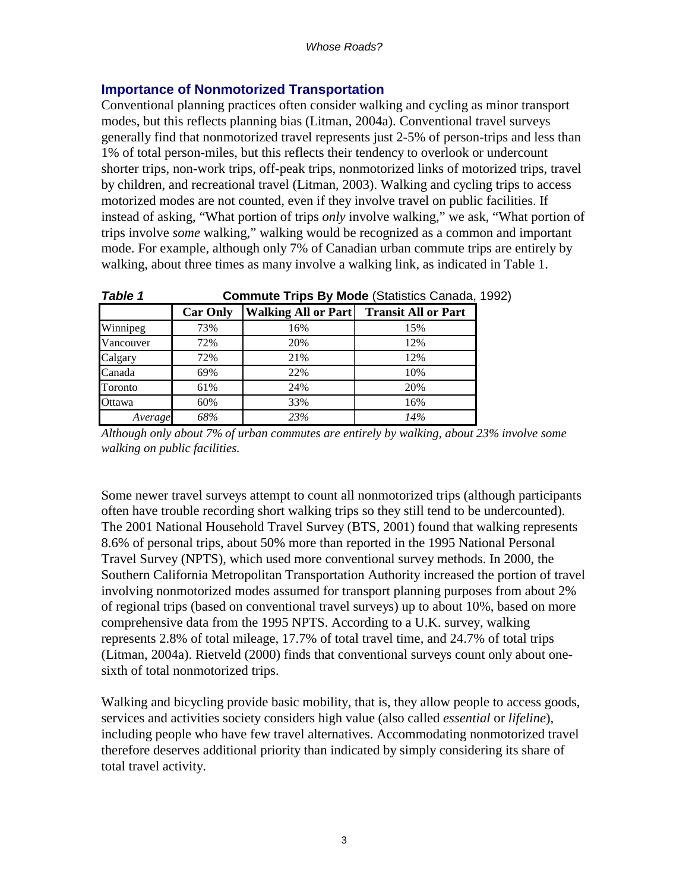### **Importance of Nonmotorized Transportation**

Conventional planning practices often consider walking and cycling as minor transport modes, but this reflects planning bias (Litman, 2004a). Conventional travel surveys generally find that nonmotorized travel represents just 2-5% of person-trips and less than 1% of total person-miles, but this reflects their tendency to overlook or undercount shorter trips, non-work trips, off-peak trips, nonmotorized links of motorized trips, travel by children, and recreational travel (Litman, 2003). Walking and cycling trips to access motorized modes are not counted, even if they involve travel on public facilities. If instead of asking, "What portion of trips *only* involve walking," we ask, "What portion of trips involve *some* walking," walking would be recognized as a common and important mode. For example, although only 7% of Canadian urban commute trips are entirely by walking, about three times as many involve a walking link, as indicated in Table 1.

| rapie i   | <b>Commute Trips by Mode</b> (Statistics Canada, 1 |                            |                            |  |  |
|-----------|----------------------------------------------------|----------------------------|----------------------------|--|--|
|           | <b>Car Only</b>                                    | <b>Walking All or Part</b> | <b>Transit All or Part</b> |  |  |
| Winnipeg  | 73%                                                | 16%                        | 15%                        |  |  |
| Vancouver | 72%                                                | 20%                        | 12%                        |  |  |
| Calgary   | 72%                                                | 21%                        | 12%                        |  |  |
| Canada    | 69%                                                | 22%                        | 10%                        |  |  |
| Toronto   | 61%                                                | 24%                        | 20%                        |  |  |
| Ottawa    | 60%                                                | 33%                        | 16%                        |  |  |
| Average   | 68%                                                | 23%                        | 14%                        |  |  |

*Table 1* **Commute Trips By Mode** (Statistics Canada, 1992)

*Although only about 7% of urban commutes are entirely by walking, about 23% involve some walking on public facilities.* 

Some newer travel surveys attempt to count all nonmotorized trips (although participants often have trouble recording short walking trips so they still tend to be undercounted). The 2001 National Household Travel Survey (BTS, 2001) found that walking represents 8.6% of personal trips, about 50% more than reported in the 1995 National Personal Travel Survey (NPTS), which used more conventional survey methods. In 2000, the Southern California Metropolitan Transportation Authority increased the portion of travel involving nonmotorized modes assumed for transport planning purposes from about 2% of regional trips (based on conventional travel surveys) up to about 10%, based on more comprehensive data from the 1995 NPTS. According to a U.K. survey, walking represents 2.8% of total mileage, 17.7% of total travel time, and 24.7% of total trips (Litman, 2004a). Rietveld (2000) finds that conventional surveys count only about onesixth of total nonmotorized trips.

Walking and bicycling provide basic mobility, that is, they allow people to access goods, services and activities society considers high value (also called *essential* or *lifeline*), including people who have few travel alternatives. Accommodating nonmotorized travel therefore deserves additional priority than indicated by simply considering its share of total travel activity.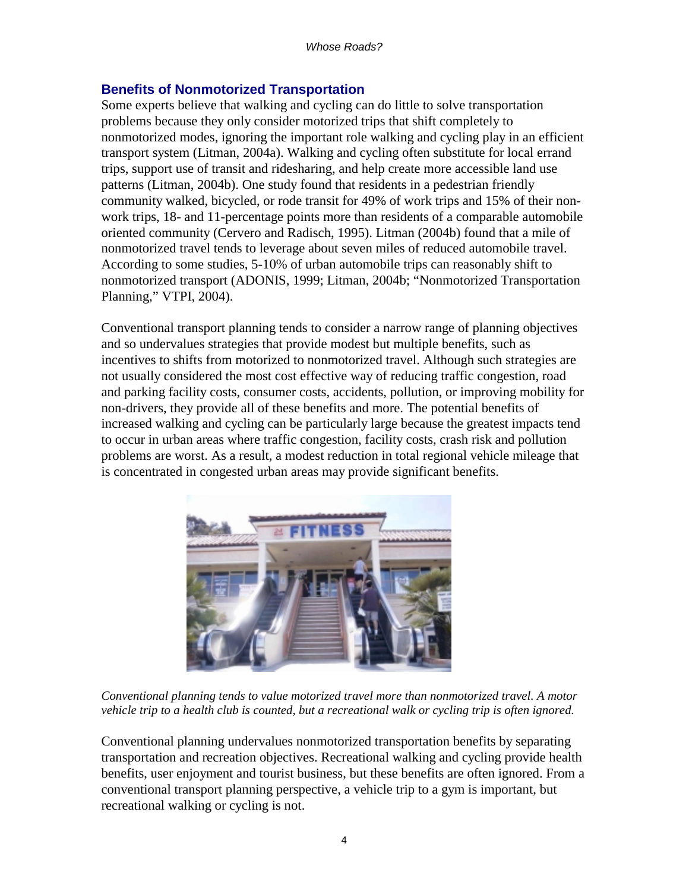# **Benefits of Nonmotorized Transportation**

Some experts believe that walking and cycling can do little to solve transportation problems because they only consider motorized trips that shift completely to nonmotorized modes, ignoring the important role walking and cycling play in an efficient transport system (Litman, 2004a). Walking and cycling often substitute for local errand trips, support use of transit and ridesharing, and help create more accessible land use patterns (Litman, 2004b). One study found that residents in a pedestrian friendly community walked, bicycled, or rode transit for 49% of work trips and 15% of their nonwork trips, 18- and 11-percentage points more than residents of a comparable automobile oriented community (Cervero and Radisch, 1995). Litman (2004b) found that a mile of nonmotorized travel tends to leverage about seven miles of reduced automobile travel. According to some studies, 5-10% of urban automobile trips can reasonably shift to nonmotorized transport (ADONIS, 1999; Litman, 2004b; "Nonmotorized Transportation Planning," VTPI, 2004).

Conventional transport planning tends to consider a narrow range of planning objectives and so undervalues strategies that provide modest but multiple benefits, such as incentives to shifts from motorized to nonmotorized travel. Although such strategies are not usually considered the most cost effective way of reducing traffic congestion, road and parking facility costs, consumer costs, accidents, pollution, or improving mobility for non-drivers, they provide all of these benefits and more. The potential benefits of increased walking and cycling can be particularly large because the greatest impacts tend to occur in urban areas where traffic congestion, facility costs, crash risk and pollution problems are worst. As a result, a modest reduction in total regional vehicle mileage that is concentrated in congested urban areas may provide significant benefits.



*Conventional planning tends to value motorized travel more than nonmotorized travel. A motor vehicle trip to a health club is counted, but a recreational walk or cycling trip is often ignored.* 

Conventional planning undervalues nonmotorized transportation benefits by separating transportation and recreation objectives. Recreational walking and cycling provide health benefits, user enjoyment and tourist business, but these benefits are often ignored. From a conventional transport planning perspective, a vehicle trip to a gym is important, but recreational walking or cycling is not.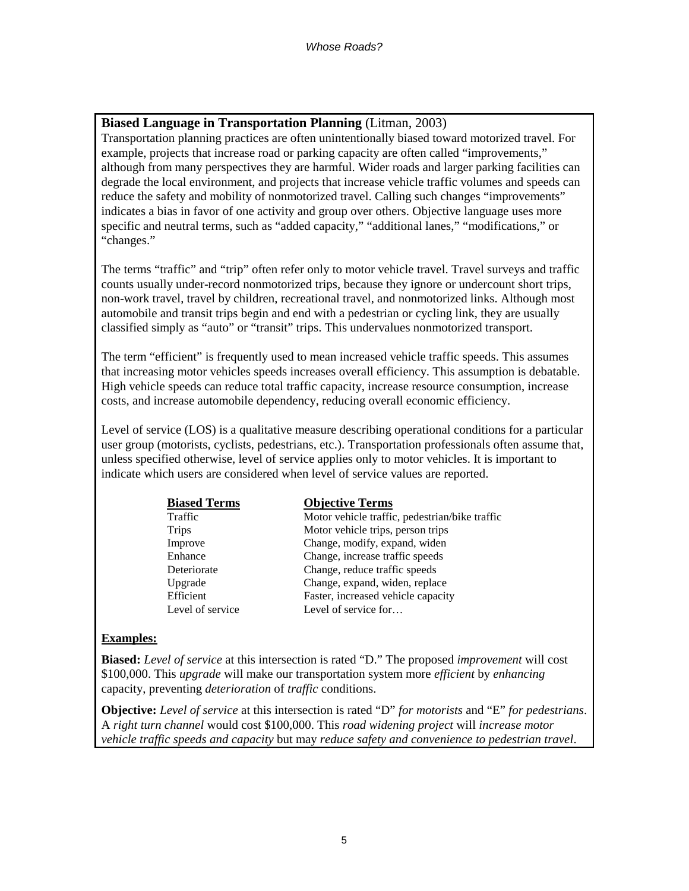#### **Biased Language in Transportation Planning** (Litman, 2003)

Transportation planning practices are often unintentionally biased toward motorized travel. For example, projects that increase road or parking capacity are often called "improvements," although from many perspectives they are harmful. Wider roads and larger parking facilities can degrade the local environment, and projects that increase vehicle traffic volumes and speeds can reduce the safety and mobility of nonmotorized travel. Calling such changes "improvements" indicates a bias in favor of one activity and group over others. Objective language uses more specific and neutral terms, such as "added capacity," "additional lanes," "modifications," or "changes."

The terms "traffic" and "trip" often refer only to motor vehicle travel. Travel surveys and traffic counts usually under-record nonmotorized trips, because they ignore or undercount short trips, non-work travel, travel by children, recreational travel, and nonmotorized links. Although most automobile and transit trips begin and end with a pedestrian or cycling link, they are usually classified simply as "auto" or "transit" trips. This undervalues nonmotorized transport.

The term "efficient" is frequently used to mean increased vehicle traffic speeds. This assumes that increasing motor vehicles speeds increases overall efficiency. This assumption is debatable. High vehicle speeds can reduce total traffic capacity, increase resource consumption, increase costs, and increase automobile dependency, reducing overall economic efficiency.

Level of service (LOS) is a qualitative measure describing operational conditions for a particular user group (motorists, cyclists, pedestrians, etc.). Transportation professionals often assume that, unless specified otherwise, level of service applies only to motor vehicles. It is important to indicate which users are considered when level of service values are reported.

| <b>Biased Terms</b> | <b>Objective Terms</b>                         |
|---------------------|------------------------------------------------|
| Traffic             | Motor vehicle traffic, pedestrian/bike traffic |
| <b>Trips</b>        | Motor vehicle trips, person trips              |
| Improve             | Change, modify, expand, widen                  |
| Enhance             | Change, increase traffic speeds                |
| Deteriorate         | Change, reduce traffic speeds                  |
| Upgrade             | Change, expand, widen, replace                 |
| Efficient           | Faster, increased vehicle capacity             |
| Level of service    | Level of service for                           |

#### **Examples:**

**Biased:** *Level of service* at this intersection is rated "D." The proposed *improvement* will cost \$100,000. This *upgrade* will make our transportation system more *efficient* by *enhancing* capacity, preventing *deterioration* of *traffic* conditions.

**Objective:** *Level of service* at this intersection is rated "D" *for motorists* and "E" *for pedestrians*. A *right turn channel* would cost \$100,000. This *road widening project* will *increase motor vehicle traffic speeds and capacity* but may *reduce safety and convenience to pedestrian travel*.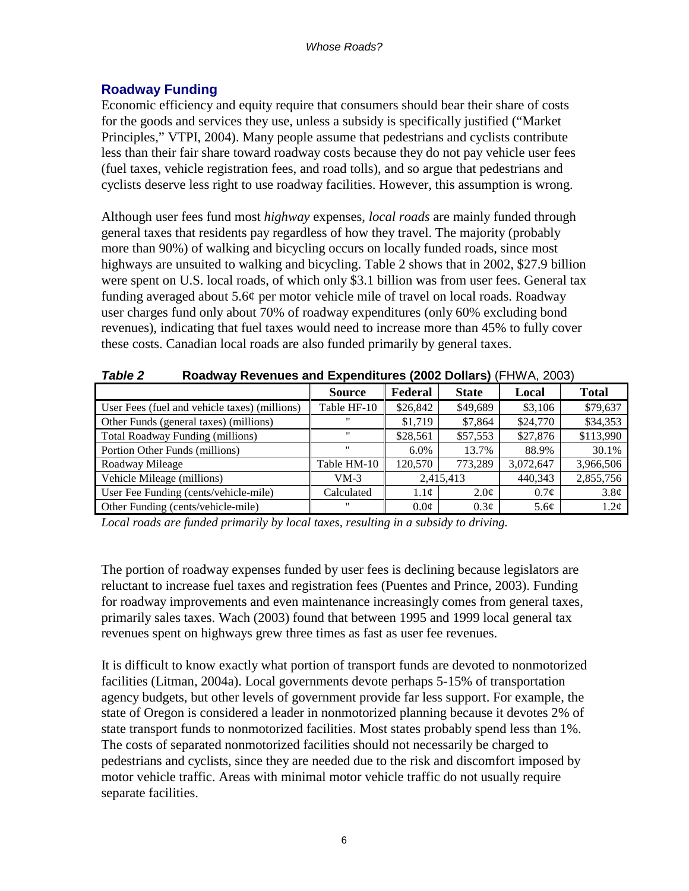### **Roadway Funding**

Economic efficiency and equity require that consumers should bear their share of costs for the goods and services they use, unless a subsidy is specifically justified ("Market Principles," VTPI, 2004). Many people assume that pedestrians and cyclists contribute less than their fair share toward roadway costs because they do not pay vehicle user fees (fuel taxes, vehicle registration fees, and road tolls), and so argue that pedestrians and cyclists deserve less right to use roadway facilities. However, this assumption is wrong.

Although user fees fund most *highway* expenses, *local roads* are mainly funded through general taxes that residents pay regardless of how they travel. The majority (probably more than 90%) of walking and bicycling occurs on locally funded roads, since most highways are unsuited to walking and bicycling. Table 2 shows that in 2002, \$27.9 billion were spent on U.S. local roads, of which only \$3.1 billion was from user fees. General tax funding averaged about 5.6¢ per motor vehicle mile of travel on local roads. Roadway user charges fund only about 70% of roadway expenditures (only 60% excluding bond revenues), indicating that fuel taxes would need to increase more than 45% to fully cover these costs. Canadian local roads are also funded primarily by general taxes.

| , ,                                           |                   |                  |                  |                  |                  |  |
|-----------------------------------------------|-------------------|------------------|------------------|------------------|------------------|--|
|                                               | <b>Source</b>     | Federal          | <b>State</b>     | Local            | <b>Total</b>     |  |
| User Fees (fuel and vehicle taxes) (millions) | Table HF-10       | \$26,842         | \$49,689         | \$3,106          | \$79,637         |  |
| Other Funds (general taxes) (millions)        |                   | \$1,719          | \$7,864          | \$24,770         | \$34,353         |  |
| <b>Total Roadway Funding (millions)</b>       | $\mathbf{H}$      | \$28,561         | \$57,553         | \$27,876         | \$113,990        |  |
| Portion Other Funds (millions)                | $^{\prime\prime}$ | $6.0\%$          | 13.7%            | 88.9%            | 30.1%            |  |
| Roadway Mileage                               | Table HM-10       | 120,570          | 773,289          | 3,072,647        | 3,966,506        |  |
| Vehicle Mileage (millions)                    | VM-3              | 2,415,413        |                  | 440,343          | 2,855,756        |  |
| User Fee Funding (cents/vehicle-mile)         | Calculated        | 1.1 <sub>c</sub> | 2.0 <sub>c</sub> | $0.7\phi$        | $3.8\phi$        |  |
| Other Funding (cents/vehicle-mile)            | $^{\prime\prime}$ | 0.0 <sub>c</sub> | 0.3 <sub>c</sub> | 5.6 <sub>c</sub> | 1.2 <sub>c</sub> |  |

*Table 2* **Roadway Revenues and Expenditures (2002 Dollars)** (FHWA, 2003)

*Local roads are funded primarily by local taxes, resulting in a subsidy to driving.* 

The portion of roadway expenses funded by user fees is declining because legislators are reluctant to increase fuel taxes and registration fees (Puentes and Prince, 2003). Funding for roadway improvements and even maintenance increasingly comes from general taxes, primarily sales taxes. Wach (2003) found that between 1995 and 1999 local general tax revenues spent on highways grew three times as fast as user fee revenues.

It is difficult to know exactly what portion of transport funds are devoted to nonmotorized facilities (Litman, 2004a). Local governments devote perhaps 5-15% of transportation agency budgets, but other levels of government provide far less support. For example, the state of Oregon is considered a leader in nonmotorized planning because it devotes 2% of state transport funds to nonmotorized facilities. Most states probably spend less than 1%. The costs of separated nonmotorized facilities should not necessarily be charged to pedestrians and cyclists, since they are needed due to the risk and discomfort imposed by motor vehicle traffic. Areas with minimal motor vehicle traffic do not usually require separate facilities.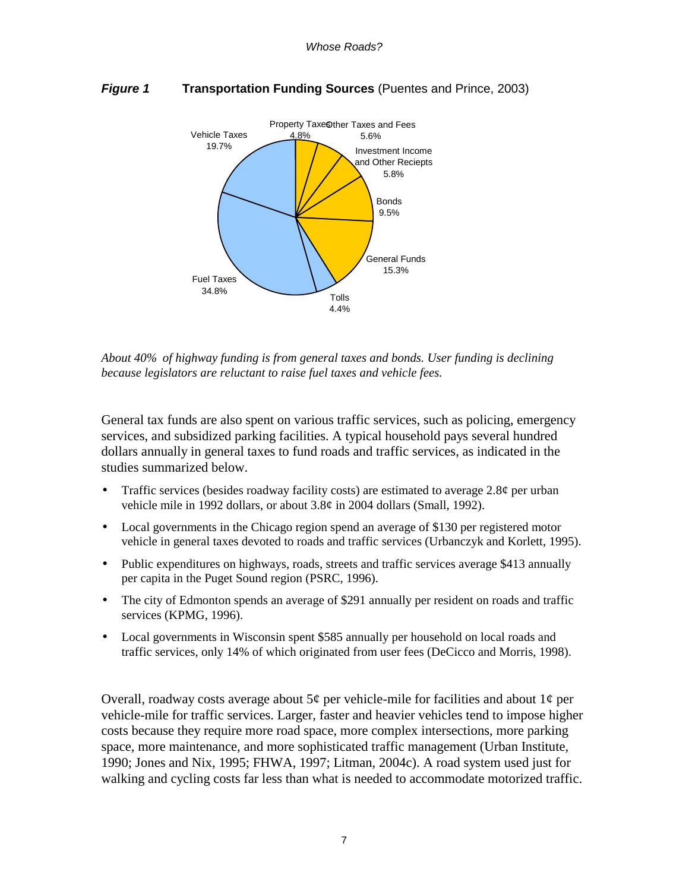

#### *Figure 1* **Transportation Funding Sources** (Puentes and Prince, 2003)

*About 40% of highway funding is from general taxes and bonds. User funding is declining because legislators are reluctant to raise fuel taxes and vehicle fees.* 

General tax funds are also spent on various traffic services, such as policing, emergency services, and subsidized parking facilities. A typical household pays several hundred dollars annually in general taxes to fund roads and traffic services, as indicated in the studies summarized below.

- Traffic services (besides roadway facility costs) are estimated to average  $2.8¢$  per urban vehicle mile in 1992 dollars, or about  $3.8¢$  in 2004 dollars (Small, 1992).
- Local governments in the Chicago region spend an average of \$130 per registered motor vehicle in general taxes devoted to roads and traffic services (Urbanczyk and Korlett, 1995).
- Public expenditures on highways, roads, streets and traffic services average \$413 annually per capita in the Puget Sound region (PSRC, 1996).
- The city of Edmonton spends an average of \$291 annually per resident on roads and traffic services (KPMG, 1996).
- Local governments in Wisconsin spent \$585 annually per household on local roads and traffic services, only 14% of which originated from user fees (DeCicco and Morris, 1998).

Overall, roadway costs average about  $5¢$  per vehicle-mile for facilities and about  $1¢$  per vehicle-mile for traffic services. Larger, faster and heavier vehicles tend to impose higher costs because they require more road space, more complex intersections, more parking space, more maintenance, and more sophisticated traffic management (Urban Institute, 1990; Jones and Nix, 1995; FHWA, 1997; Litman, 2004c). A road system used just for walking and cycling costs far less than what is needed to accommodate motorized traffic.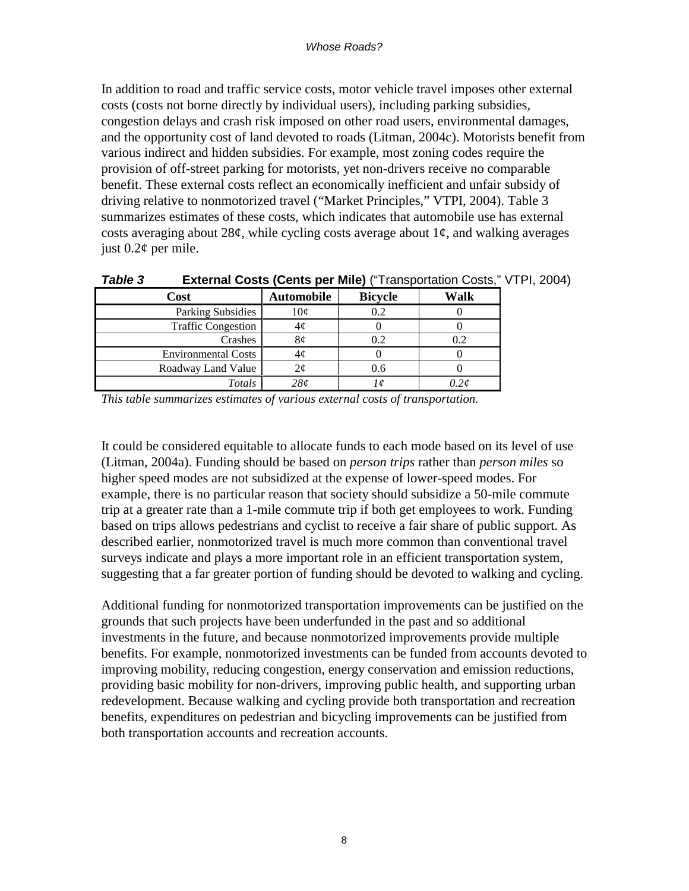In addition to road and traffic service costs, motor vehicle travel imposes other external costs (costs not borne directly by individual users), including parking subsidies, congestion delays and crash risk imposed on other road users, environmental damages, and the opportunity cost of land devoted to roads (Litman, 2004c). Motorists benefit from various indirect and hidden subsidies. For example, most zoning codes require the provision of off-street parking for motorists, yet non-drivers receive no comparable benefit. These external costs reflect an economically inefficient and unfair subsidy of driving relative to nonmotorized travel ("Market Principles," VTPI, 2004). Table 3 summarizes estimates of these costs, which indicates that automobile use has external costs averaging about 28 $\ell$ , while cycling costs average about  $1\ell$ , and walking averages just  $0.2\text{\textdegree}$  per mile.

| i anic j<br><b>LAGHIAI COSIS (CENIS DEL MIIE)</b><br>Transportation Costs, VIII |                   |                |           |  |  |
|---------------------------------------------------------------------------------|-------------------|----------------|-----------|--|--|
| Cost                                                                            | <b>Automobile</b> | <b>Bicycle</b> | Walk      |  |  |
| Parking Subsidies                                                               | 10¢               | 0.2            |           |  |  |
| <b>Traffic Congestion</b>                                                       | 4¢                |                |           |  |  |
| Crashes                                                                         | 8¢                | 0.2            | 0.2       |  |  |
| <b>Environmental Costs</b>                                                      | 4¢                |                |           |  |  |
| Roadway Land Value                                                              | Σ¢                | 0.6            |           |  |  |
| Totals                                                                          | 28¢               |                | $J.2\phi$ |  |  |

*Table 3* **External Costs (Cents per Mile)** ("Transportation Costs," VTPI, 2004)

*This table summarizes estimates of various external costs of transportation.* 

It could be considered equitable to allocate funds to each mode based on its level of use (Litman, 2004a). Funding should be based on *person trips* rather than *person miles* so higher speed modes are not subsidized at the expense of lower-speed modes. For example, there is no particular reason that society should subsidize a 50-mile commute trip at a greater rate than a 1-mile commute trip if both get employees to work. Funding based on trips allows pedestrians and cyclist to receive a fair share of public support. As described earlier, nonmotorized travel is much more common than conventional travel surveys indicate and plays a more important role in an efficient transportation system, suggesting that a far greater portion of funding should be devoted to walking and cycling.

Additional funding for nonmotorized transportation improvements can be justified on the grounds that such projects have been underfunded in the past and so additional investments in the future, and because nonmotorized improvements provide multiple benefits. For example, nonmotorized investments can be funded from accounts devoted to improving mobility, reducing congestion, energy conservation and emission reductions, providing basic mobility for non-drivers, improving public health, and supporting urban redevelopment. Because walking and cycling provide both transportation and recreation benefits, expenditures on pedestrian and bicycling improvements can be justified from both transportation accounts and recreation accounts.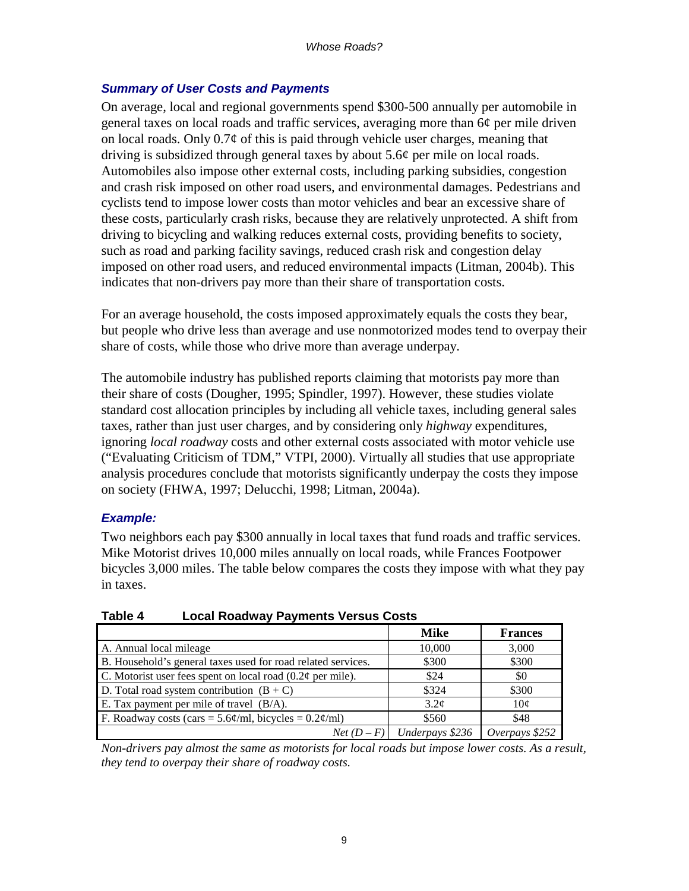#### *Summary of User Costs and Payments*

On average, local and regional governments spend \$300-500 annually per automobile in general taxes on local roads and traffic services, averaging more than 6¢ per mile driven on local roads. Only  $0.7\phi$  of this is paid through vehicle user charges, meaning that driving is subsidized through general taxes by about 5.6¢ per mile on local roads. Automobiles also impose other external costs, including parking subsidies, congestion and crash risk imposed on other road users, and environmental damages. Pedestrians and cyclists tend to impose lower costs than motor vehicles and bear an excessive share of these costs, particularly crash risks, because they are relatively unprotected. A shift from driving to bicycling and walking reduces external costs, providing benefits to society, such as road and parking facility savings, reduced crash risk and congestion delay imposed on other road users, and reduced environmental impacts (Litman, 2004b). This indicates that non-drivers pay more than their share of transportation costs.

For an average household, the costs imposed approximately equals the costs they bear, but people who drive less than average and use nonmotorized modes tend to overpay their share of costs, while those who drive more than average underpay.

The automobile industry has published reports claiming that motorists pay more than their share of costs (Dougher, 1995; Spindler, 1997). However, these studies violate standard cost allocation principles by including all vehicle taxes, including general sales taxes, rather than just user charges, and by considering only *highway* expenditures, ignoring *local roadway* costs and other external costs associated with motor vehicle use ("Evaluating Criticism of TDM," VTPI, 2000). Virtually all studies that use appropriate analysis procedures conclude that motorists significantly underpay the costs they impose on society (FHWA, 1997; Delucchi, 1998; Litman, 2004a).

#### *Example:*

Two neighbors each pay \$300 annually in local taxes that fund roads and traffic services. Mike Motorist drives 10,000 miles annually on local roads, while Frances Footpower bicycles 3,000 miles. The table below compares the costs they impose with what they pay in taxes.

| .                                                                                   |                              |                |  |  |  |
|-------------------------------------------------------------------------------------|------------------------------|----------------|--|--|--|
|                                                                                     | <b>Mike</b>                  | <b>Frances</b> |  |  |  |
| A. Annual local mileage                                                             | 10,000                       | 3,000          |  |  |  |
| B. Household's general taxes used for road related services.                        | \$300                        | \$300          |  |  |  |
| C. Motorist user fees spent on local road $(0.2\phi$ per mile).                     | \$24                         | \$0            |  |  |  |
| D. Total road system contribution $(B + C)$                                         | \$324                        | \$300          |  |  |  |
| E. Tax payment per mile of travel (B/A).                                            | $3.2\epsilon$                | $10\sigma$     |  |  |  |
| F. Roadway costs (cars = $5.6\frac{\omega}{m}$ , bicycles = $0.2\frac{\omega}{m}$ ) | \$560                        | \$48           |  |  |  |
|                                                                                     | $Net(D - F)$ Underpays \$236 | Overpays \$252 |  |  |  |

**Table 4 Local Roadway Payments Versus Costs** 

*Non-drivers pay almost the same as motorists for local roads but impose lower costs. As a result, they tend to overpay their share of roadway costs.*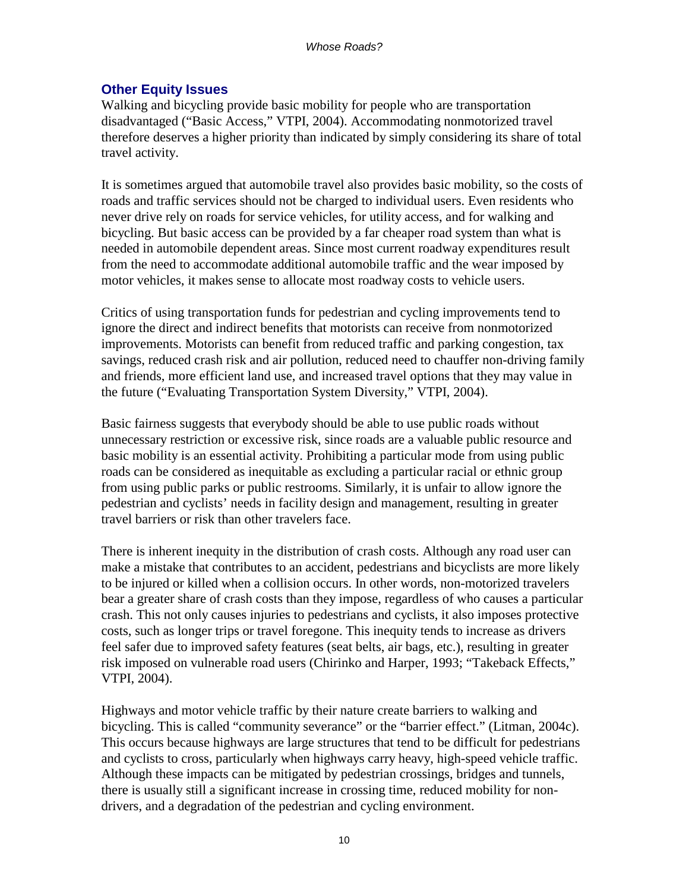# **Other Equity Issues**

Walking and bicycling provide basic mobility for people who are transportation disadvantaged ("Basic Access," VTPI, 2004). Accommodating nonmotorized travel therefore deserves a higher priority than indicated by simply considering its share of total travel activity.

It is sometimes argued that automobile travel also provides basic mobility, so the costs of roads and traffic services should not be charged to individual users. Even residents who never drive rely on roads for service vehicles, for utility access, and for walking and bicycling. But basic access can be provided by a far cheaper road system than what is needed in automobile dependent areas. Since most current roadway expenditures result from the need to accommodate additional automobile traffic and the wear imposed by motor vehicles, it makes sense to allocate most roadway costs to vehicle users.

Critics of using transportation funds for pedestrian and cycling improvements tend to ignore the direct and indirect benefits that motorists can receive from nonmotorized improvements. Motorists can benefit from reduced traffic and parking congestion, tax savings, reduced crash risk and air pollution, reduced need to chauffer non-driving family and friends, more efficient land use, and increased travel options that they may value in the future ("Evaluating Transportation System Diversity," VTPI, 2004).

Basic fairness suggests that everybody should be able to use public roads without unnecessary restriction or excessive risk, since roads are a valuable public resource and basic mobility is an essential activity. Prohibiting a particular mode from using public roads can be considered as inequitable as excluding a particular racial or ethnic group from using public parks or public restrooms. Similarly, it is unfair to allow ignore the pedestrian and cyclists' needs in facility design and management, resulting in greater travel barriers or risk than other travelers face.

There is inherent inequity in the distribution of crash costs. Although any road user can make a mistake that contributes to an accident, pedestrians and bicyclists are more likely to be injured or killed when a collision occurs. In other words, non-motorized travelers bear a greater share of crash costs than they impose, regardless of who causes a particular crash. This not only causes injuries to pedestrians and cyclists, it also imposes protective costs, such as longer trips or travel foregone. This inequity tends to increase as drivers feel safer due to improved safety features (seat belts, air bags, etc.), resulting in greater risk imposed on vulnerable road users (Chirinko and Harper, 1993; "Takeback Effects," VTPI, 2004).

Highways and motor vehicle traffic by their nature create barriers to walking and bicycling. This is called "community severance" or the "barrier effect." (Litman, 2004c). This occurs because highways are large structures that tend to be difficult for pedestrians and cyclists to cross, particularly when highways carry heavy, high-speed vehicle traffic. Although these impacts can be mitigated by pedestrian crossings, bridges and tunnels, there is usually still a significant increase in crossing time, reduced mobility for nondrivers, and a degradation of the pedestrian and cycling environment.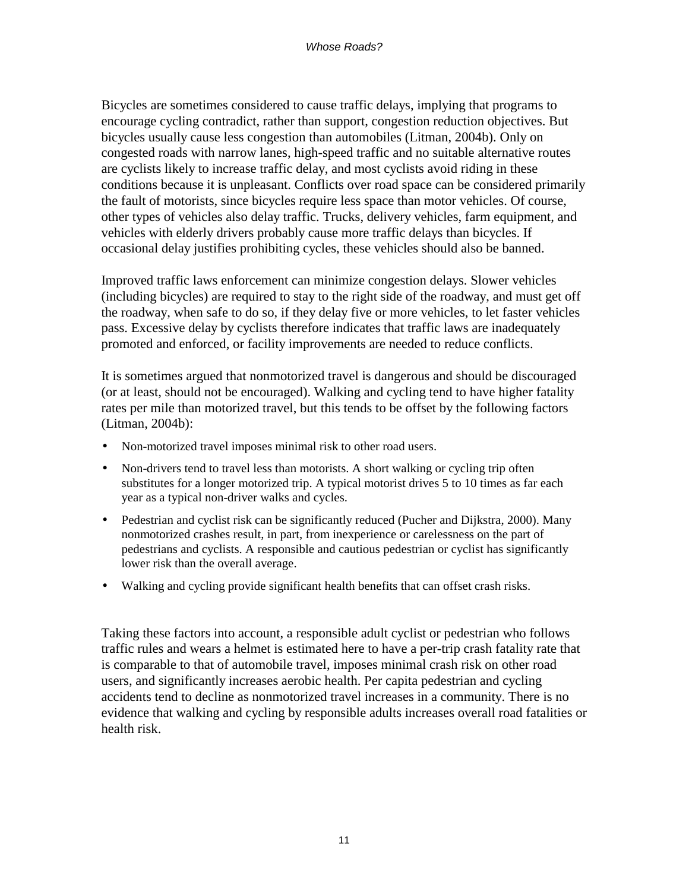Bicycles are sometimes considered to cause traffic delays, implying that programs to encourage cycling contradict, rather than support, congestion reduction objectives. But bicycles usually cause less congestion than automobiles (Litman, 2004b). Only on congested roads with narrow lanes, high-speed traffic and no suitable alternative routes are cyclists likely to increase traffic delay, and most cyclists avoid riding in these conditions because it is unpleasant. Conflicts over road space can be considered primarily the fault of motorists, since bicycles require less space than motor vehicles. Of course, other types of vehicles also delay traffic. Trucks, delivery vehicles, farm equipment, and vehicles with elderly drivers probably cause more traffic delays than bicycles. If occasional delay justifies prohibiting cycles, these vehicles should also be banned.

Improved traffic laws enforcement can minimize congestion delays. Slower vehicles (including bicycles) are required to stay to the right side of the roadway, and must get off the roadway, when safe to do so, if they delay five or more vehicles, to let faster vehicles pass. Excessive delay by cyclists therefore indicates that traffic laws are inadequately promoted and enforced, or facility improvements are needed to reduce conflicts.

It is sometimes argued that nonmotorized travel is dangerous and should be discouraged (or at least, should not be encouraged). Walking and cycling tend to have higher fatality rates per mile than motorized travel, but this tends to be offset by the following factors (Litman, 2004b):

- Non-motorized travel imposes minimal risk to other road users.
- Non-drivers tend to travel less than motorists. A short walking or cycling trip often substitutes for a longer motorized trip. A typical motorist drives 5 to 10 times as far each year as a typical non-driver walks and cycles.
- Pedestrian and cyclist risk can be significantly reduced (Pucher and Dijkstra, 2000). Many nonmotorized crashes result, in part, from inexperience or carelessness on the part of pedestrians and cyclists. A responsible and cautious pedestrian or cyclist has significantly lower risk than the overall average.
- Walking and cycling provide significant health benefits that can offset crash risks.

Taking these factors into account, a responsible adult cyclist or pedestrian who follows traffic rules and wears a helmet is estimated here to have a per-trip crash fatality rate that is comparable to that of automobile travel, imposes minimal crash risk on other road users, and significantly increases aerobic health. Per capita pedestrian and cycling accidents tend to decline as nonmotorized travel increases in a community. There is no evidence that walking and cycling by responsible adults increases overall road fatalities or health risk.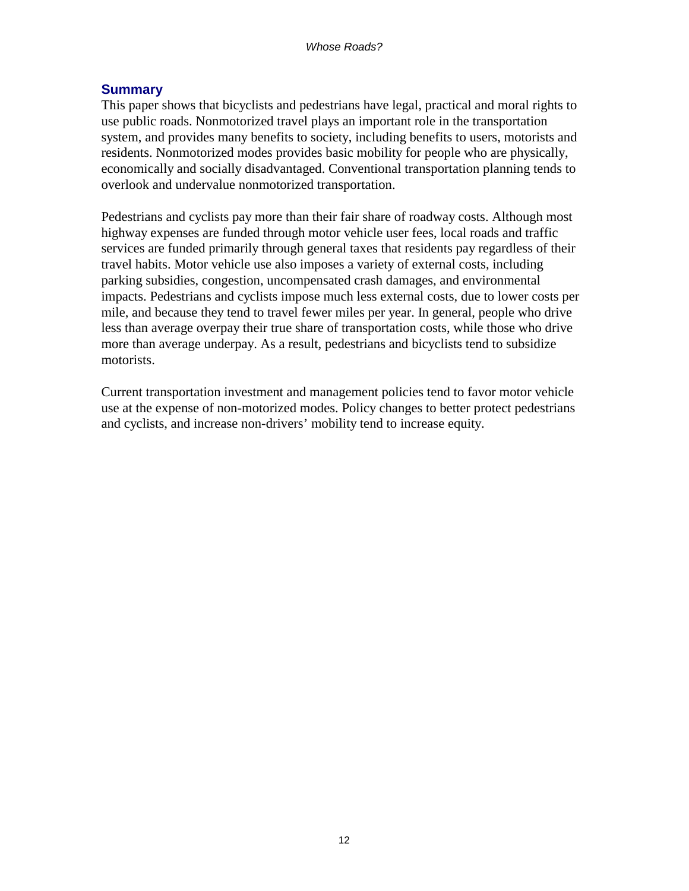#### **Summary**

This paper shows that bicyclists and pedestrians have legal, practical and moral rights to use public roads. Nonmotorized travel plays an important role in the transportation system, and provides many benefits to society, including benefits to users, motorists and residents. Nonmotorized modes provides basic mobility for people who are physically, economically and socially disadvantaged. Conventional transportation planning tends to overlook and undervalue nonmotorized transportation.

Pedestrians and cyclists pay more than their fair share of roadway costs. Although most highway expenses are funded through motor vehicle user fees, local roads and traffic services are funded primarily through general taxes that residents pay regardless of their travel habits. Motor vehicle use also imposes a variety of external costs, including parking subsidies, congestion, uncompensated crash damages, and environmental impacts. Pedestrians and cyclists impose much less external costs, due to lower costs per mile, and because they tend to travel fewer miles per year. In general, people who drive less than average overpay their true share of transportation costs, while those who drive more than average underpay. As a result, pedestrians and bicyclists tend to subsidize motorists.

Current transportation investment and management policies tend to favor motor vehicle use at the expense of non-motorized modes. Policy changes to better protect pedestrians and cyclists, and increase non-drivers' mobility tend to increase equity.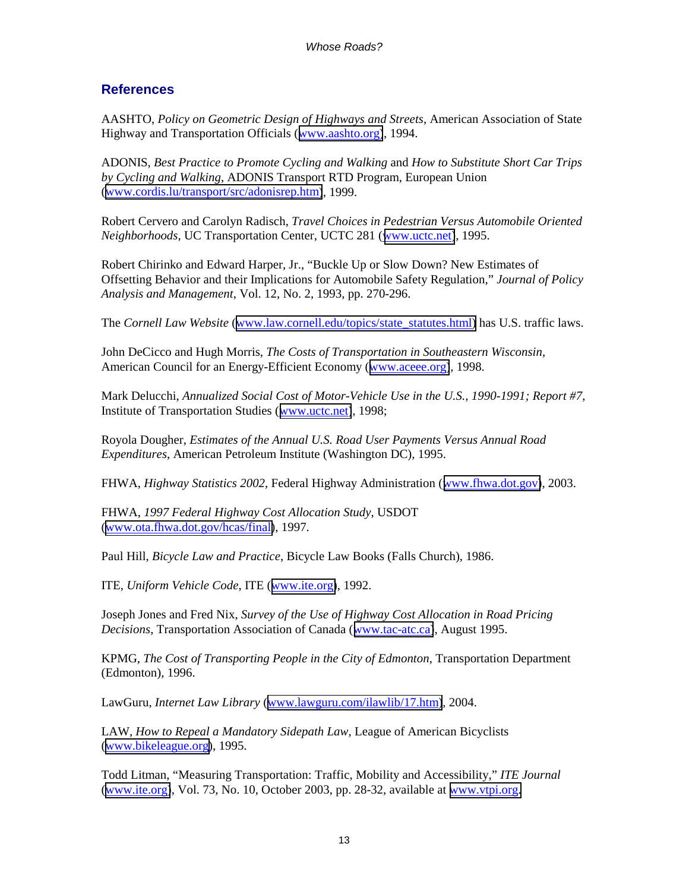#### **References**

AASHTO, *Policy on Geometric Design of Highways and Streets*, American Association of State Highway and Transportation Officials ([www.aashto.org\)](http://www.aashto.org/), 1994.

ADONIS, *Best Practice to Promote Cycling and Walking* and *How to Substitute Short Car Trips by Cycling and Walking*, ADONIS Transport RTD Program, European Union ([www.cordis.lu/transport/src/adonisrep.htm\)](http://www.cordis.lu/transport/src/adonisrep.htm), 1999.

Robert Cervero and Carolyn Radisch, *Travel Choices in Pedestrian Versus Automobile Oriented Neighborhoods*, UC Transportation Center, UCTC 281 ([www.uctc.net\)](http://www.uctc.net/), 1995.

Robert Chirinko and Edward Harper, Jr., "Buckle Up or Slow Down? New Estimates of Offsetting Behavior and their Implications for Automobile Safety Regulation," *Journal of Policy Analysis and Management*, Vol. 12, No. 2, 1993, pp. 270-296.

The *Cornell Law Website* ([www.law.cornell.edu/topics/state\\_statutes.html\)](http://www.law.cornell.edu/topics/state_statutes.html) has U.S. traffic laws.

John DeCicco and Hugh Morris, *The Costs of Transportation in Southeastern Wisconsin*, American Council for an Energy-Efficient Economy ([www.aceee.org\)](http://www.aceee.org/), 1998.

Mark Delucchi, *Annualized Social Cost of Motor-Vehicle Use in the U.S., 1990-1991; Report #7*, Institute of Transportation Studies ([www.uctc.net\)](http://www.uctc.net/), 1998;

Royola Dougher, *Estimates of the Annual U.S. Road User Payments Versus Annual Road Expenditures*, American Petroleum Institute (Washington DC), 1995.

FHWA, *Highway Statistics 2002*, Federal Highway Administration ([www.fhwa.dot.gov\)](http://www.fhwa.dot.gov/), 2003.

FHWA, *1997 Federal Highway Cost Allocation Study*, USDOT ([www.ota.fhwa.dot.gov/hcas/final\)](http://www.ota.fhwa.dot.gov/hcas/final), 1997.

Paul Hill, *Bicycle Law and Practice*, Bicycle Law Books (Falls Church), 1986.

ITE, *Uniform Vehicle Code*, ITE ([www.ite.org\)](http://www.ite.org/), 1992.

Joseph Jones and Fred Nix, *Survey of the Use of Highway Cost Allocation in Road Pricing Decisions*, Transportation Association of Canada ([www.tac-atc.ca\)](http://www.tac-atc.ca/), August 1995.

KPMG, *The Cost of Transporting People in the City of Edmonton*, Transportation Department (Edmonton), 1996.

LawGuru, *Internet Law Library* ([www.lawguru.com/ilawlib/17.htm\)](http://www.lawguru.com/ilawlib/17.htm), 2004.

LAW, *How to Repeal a Mandatory Sidepath Law*, League of American Bicyclists ([www.bikeleague.org\)](http://www.bikeleague.org/), 1995.

Todd Litman, "Measuring Transportation: Traffic, Mobility and Accessibility," *ITE Journal* ([www.ite.org\)](http://www.ite.org/), Vol. 73, No. 10, October 2003, pp. 28-32, available at [www.vtpi.org.](http://www.vtpi.org/)